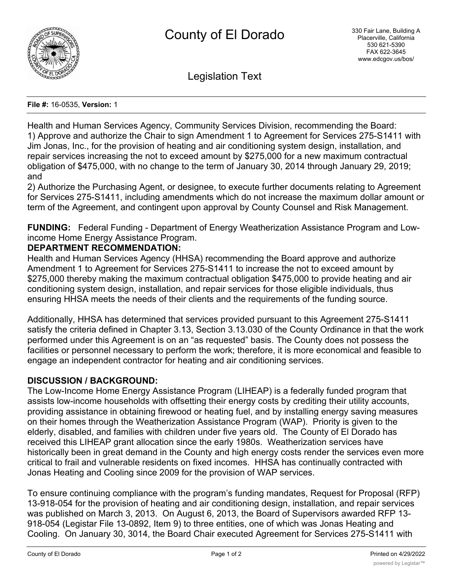

Legislation Text

**File #:** 16-0535, **Version:** 1

Health and Human Services Agency, Community Services Division, recommending the Board: 1) Approve and authorize the Chair to sign Amendment 1 to Agreement for Services 275-S1411 with Jim Jonas, Inc., for the provision of heating and air conditioning system design, installation, and repair services increasing the not to exceed amount by \$275,000 for a new maximum contractual obligation of \$475,000, with no change to the term of January 30, 2014 through January 29, 2019; and

2) Authorize the Purchasing Agent, or designee, to execute further documents relating to Agreement for Services 275-S1411, including amendments which do not increase the maximum dollar amount or term of the Agreement, and contingent upon approval by County Counsel and Risk Management.

**FUNDING:** Federal Funding - Department of Energy Weatherization Assistance Program and Lowincome Home Energy Assistance Program.

# **DEPARTMENT RECOMMENDATION:**

Health and Human Services Agency (HHSA) recommending the Board approve and authorize Amendment 1 to Agreement for Services 275-S1411 to increase the not to exceed amount by \$275,000 thereby making the maximum contractual obligation \$475,000 to provide heating and air conditioning system design, installation, and repair services for those eligible individuals, thus ensuring HHSA meets the needs of their clients and the requirements of the funding source.

Additionally, HHSA has determined that services provided pursuant to this Agreement 275-S1411 satisfy the criteria defined in Chapter 3.13, Section 3.13.030 of the County Ordinance in that the work performed under this Agreement is on an "as requested" basis. The County does not possess the facilities or personnel necessary to perform the work; therefore, it is more economical and feasible to engage an independent contractor for heating and air conditioning services.

## **DISCUSSION / BACKGROUND:**

The Low-Income Home Energy Assistance Program (LIHEAP) is a federally funded program that assists low-income households with offsetting their energy costs by crediting their utility accounts, providing assistance in obtaining firewood or heating fuel, and by installing energy saving measures on their homes through the Weatherization Assistance Program (WAP). Priority is given to the elderly, disabled, and families with children under five years old. The County of El Dorado has received this LIHEAP grant allocation since the early 1980s. Weatherization services have historically been in great demand in the County and high energy costs render the services even more critical to frail and vulnerable residents on fixed incomes. HHSA has continually contracted with Jonas Heating and Cooling since 2009 for the provision of WAP services.

To ensure continuing compliance with the program's funding mandates, Request for Proposal (RFP) 13-918-054 for the provision of heating and air conditioning design, installation, and repair services was published on March 3, 2013. On August 6, 2013, the Board of Supervisors awarded RFP 13- 918-054 (Legistar File 13-0892, Item 9) to three entities, one of which was Jonas Heating and Cooling. On January 30, 3014, the Board Chair executed Agreement for Services 275-S1411 with